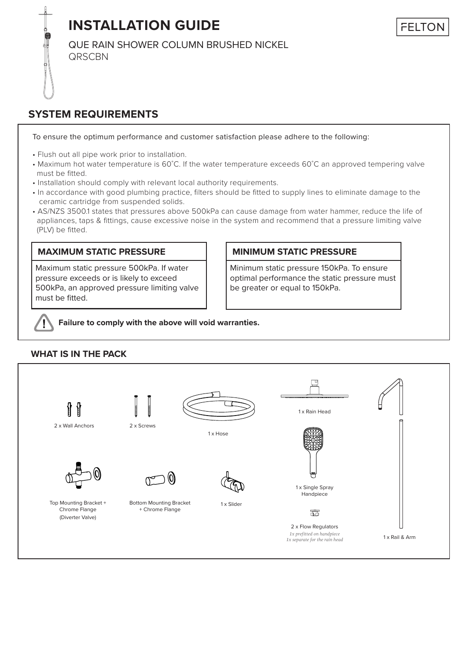**INSTALLATION GUIDE**

QUE RAIN SHOWER COLUMN BRUSHED NICKEL **QRSCBN** 

## **SYSTEM REQUIREMENTS**

To ensure the optimum performance and customer satisfaction please adhere to the following:

- Flush out all pipe work prior to installation.
- Maximum hot water temperature is 60˚C. If the water temperature exceeds 60˚C an approved tempering valve must be fitted.
- Installation should comply with relevant local authority requirements.
- In accordance with good plumbing practice, filters should be fitted to supply lines to eliminate damage to the ceramic cartridge from suspended solids.
- AS/NZS 3500.1 states that pressures above 500kPa can cause damage from water hammer, reduce the life of appliances, taps & fittings, cause excessive noise in the system and recommend that a pressure limiting valve (PLV) be fitted.

## **MAXIMUM STATIC PRESSURE**

Maximum static pressure 500kPa. If water pressure exceeds or is likely to exceed 500kPa, an approved pressure limiting valve must be fitted.

## **MINIMUM STATIC PRESSURE**

Minimum static pressure 150kPa. To ensure optimal performance the static pressure must be greater or equal to 150kPa.

**Failure to comply with the above will void warranties.**

## **WHAT IS IN THE PACK**

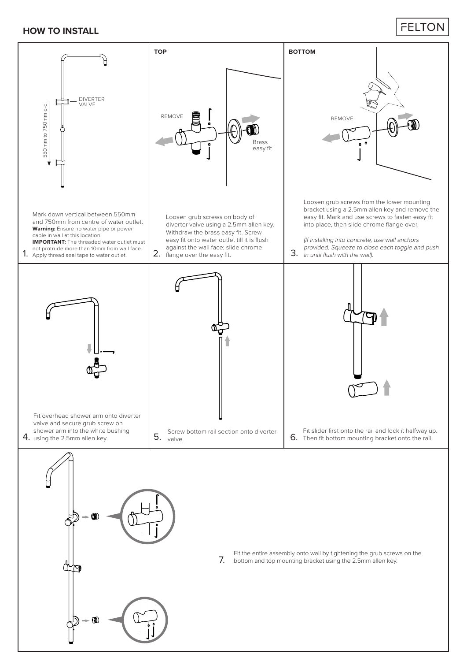## **HOW TO INSTALL**

## **FELTON**